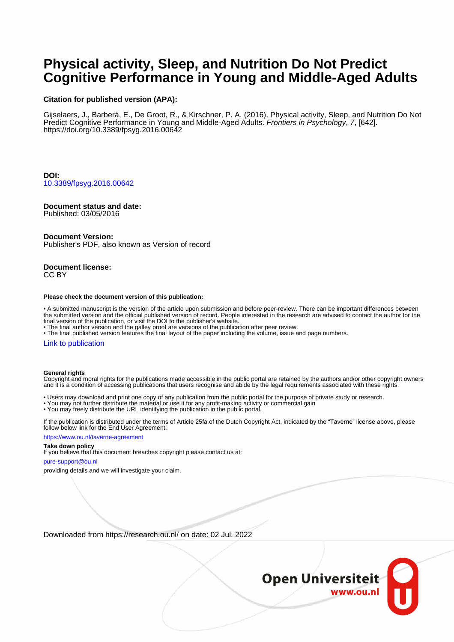# **Physical activity, Sleep, and Nutrition Do Not Predict Cognitive Performance in Young and Middle-Aged Adults**

#### **Citation for published version (APA):**

Gijselaers, J., Barberà, E., De Groot, R., & Kirschner, P. A. (2016). Physical activity, Sleep, and Nutrition Do Not Predict Cognitive Performance in Young and Middle-Aged Adults. Frontiers in Psychology, 7, [642]. <https://doi.org/10.3389/fpsyg.2016.00642>

**DOI:** [10.3389/fpsyg.2016.00642](https://doi.org/10.3389/fpsyg.2016.00642)

### **Document status and date:**

Published: 03/05/2016

#### **Document Version:**

Publisher's PDF, also known as Version of record

#### **Document license:** CC BY

#### **Please check the document version of this publication:**

• A submitted manuscript is the version of the article upon submission and before peer-review. There can be important differences between the submitted version and the official published version of record. People interested in the research are advised to contact the author for the final version of the publication, or visit the DOI to the publisher's website.

• The final author version and the galley proof are versions of the publication after peer review.

• The final published version features the final layout of the paper including the volume, issue and page numbers.

#### [Link to publication](https://research.ou.nl/en/publications/70fe4a9d-95a2-48af-8e1b-6bd4a1717bc7)

#### **General rights**

Copyright and moral rights for the publications made accessible in the public portal are retained by the authors and/or other copyright owners and it is a condition of accessing publications that users recognise and abide by the legal requirements associated with these rights.

- Users may download and print one copy of any publication from the public portal for the purpose of private study or research.
- You may not further distribute the material or use it for any profit-making activity or commercial gain
- You may freely distribute the URL identifying the publication in the public portal.

If the publication is distributed under the terms of Article 25fa of the Dutch Copyright Act, indicated by the "Taverne" license above, please follow below link for the End User Agreement:

#### https://www.ou.nl/taverne-agreement

## **Take down policy**

If you believe that this document breaches copyright please contact us at:

#### pure-support@ou.nl

providing details and we will investigate your claim.

Downloaded from https://research.ou.nl/ on date: 02 Jul. 2022

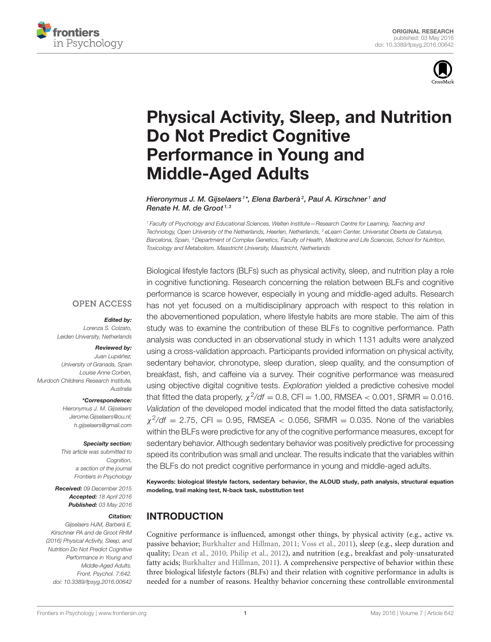



# [Physical Activity, Sleep, and Nutrition](http://journal.frontiersin.org/article/10.3389/fpsyg.2016.00642/abstract) Do Not Predict Cognitive Performance in Young and Middle-Aged Adults

[Hieronymus J. M. Gijselaers](http://loop.frontiersin.org/people/301155/overview) <sup>1\*</sup>, Elena Barberà <sup>2</sup>, [Paul A. Kirschner](http://loop.frontiersin.org/people/344248/overview) <sup>1</sup> and [Renate H. M. de Groot](http://loop.frontiersin.org/people/78280/overview)<sup>1, 3</sup>

<sup>1</sup> Faculty of Psychology and Educational Sciences, Welten Institute—Research Centre for Learning, Teaching and Technology, Open University of the Netherlands, Heerlen, Netherlands, <sup>2</sup> eLearn Center, Universitat Oberta de Catalunya, Barcelona, Spain, <sup>3</sup> Department of Complex Genetics, Faculty of Health, Medicine and Life Sciences, School for Nutrition, Toxicology and Metabolism, Maastricht University, Maastricht, Netherlands

**OPEN ACCESS** 

#### Edited by:

Lorenza S. Colzato, Leiden University, Netherlands

#### Reviewed by:

Juan Lupiáñez, University of Granada, Spain Louise Anne Corben, Murdoch Childrens Research Institute, Australia

### \*Correspondence:

Hieronymus J. M. Gijselaers [Jerome.Gijselaers@ou.nl;](mailto:Jerome.Gijselaers@ou.nl) [h.gijselaers@gmail.com](mailto: h.gijselaers@gmail.com)

#### Specialty section:

This article was submitted to Cognition, a section of the journal Frontiers in Psychology

Received: 09 December 2015 Accepted: 18 April 2016 Published: 03 May 2016

#### Citation:

Gijselaers HJM, Barberà E, Kirschner PA and de Groot RHM (2016) Physical Activity, Sleep, and Nutrition Do Not Predict Cognitive Performance in Young and Middle-Aged Adults. Front. Psychol. 7:642. doi: [10.3389/fpsyg.2016.00642](http://dx.doi.org/10.3389/fpsyg.2016.00642)

Biological lifestyle factors (BLFs) such as physical activity, sleep, and nutrition play a role in cognitive functioning. Research concerning the relation between BLFs and cognitive performance is scarce however, especially in young and middle-aged adults. Research has not yet focused on a multidisciplinary approach with respect to this relation in the abovementioned population, where lifestyle habits are more stable. The aim of this study was to examine the contribution of these BLFs to cognitive performance. Path analysis was conducted in an observational study in which 1131 adults were analyzed using a cross-validation approach. Participants provided information on physical activity, sedentary behavior, chronotype, sleep duration, sleep quality, and the consumption of breakfast, fish, and caffeine via a survey. Their cognitive performance was measured using objective digital cognitive tests. Exploration yielded a predictive cohesive model that fitted the data properly,  $\chi^2/df = 0.8$ , CFI = 1.00, RMSEA < 0.001, SRMR = 0.016. Validation of the developed model indicated that the model fitted the data satisfactorily,  $\chi^2$ /df = 2.75, CFI = 0.95, RMSEA < 0.056, SRMR = 0.035. None of the variables within the BLFs were predictive for any of the cognitive performance measures, except for sedentary behavior. Although sedentary behavior was positively predictive for processing speed its contribution was small and unclear. The results indicate that the variables within the BLFs do not predict cognitive performance in young and middle-aged adults.

Keywords: biological lifestyle factors, sedentary behavior, the ALOUD study, path analysis, structural equation modeling, trail making test, N-back task, substitution test

# INTRODUCTION

Cognitive performance is influenced, amongst other things, by physical activity (e.g., active vs. passive behavior; [Burkhalter and Hillman, 2011;](#page-10-0) [Voss et al., 2011\)](#page-12-0), sleep (e.g., sleep duration and quality; [Dean et al., 2010;](#page-10-1) [Philip et al., 2012\)](#page-11-0), and nutrition (e.g., breakfast and poly-unsaturated fatty acids; [Burkhalter and Hillman, 2011\)](#page-10-0). A comprehensive perspective of behavior within these three biological lifestyle factors (BLFs) and their relation with cognitive performance in adults is needed for a number of reasons. Healthy behavior concerning these controllable environmental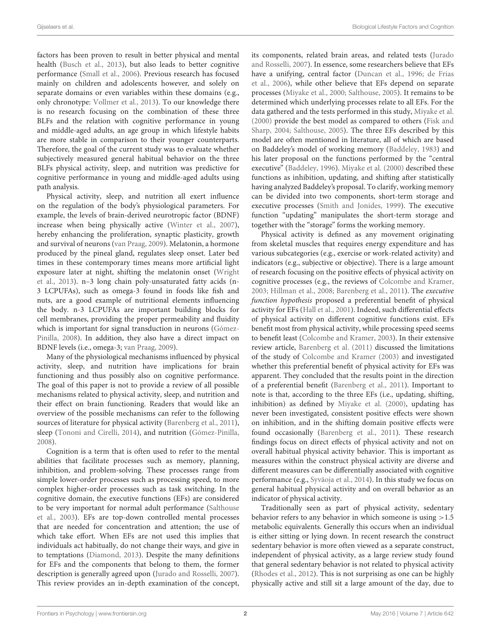factors has been proven to result in better physical and mental health [\(Busch et al., 2013\)](#page-10-2), but also leads to better cognitive performance [\(Small et al., 2006\)](#page-12-1). Previous research has focused mainly on children and adolescents however, and solely on separate domains or even variables within these domains (e.g., only chronotype: [Vollmer et al., 2013\)](#page-12-2). To our knowledge there is no research focusing on the combination of these three BLFs and the relation with cognitive performance in young and middle-aged adults, an age group in which lifestyle habits are more stable in comparison to their younger counterparts. Therefore, the goal of the current study was to evaluate whether subjectively measured general habitual behavior on the three BLFs physical activity, sleep, and nutrition was predictive for cognitive performance in young and middle-aged adults using path analysis.

Physical activity, sleep, and nutrition all exert influence on the regulation of the body's physiological parameters. For example, the levels of brain-derived neurotropic factor (BDNF) increase when being physically active [\(Winter et al., 2007\)](#page-12-3), hereby enhancing the proliferation, synaptic plasticity, growth and survival of neurons [\(van Praag, 2009\)](#page-12-4). Melatonin, a hormone produced by the pineal gland, regulates sleep onset. Later bed times in these contemporary times means more artificial light exposure later at night, shifting the melatonin onset (Wright et al., [2013\)](#page-12-5). n–3 long chain poly-unsaturated fatty acids (n-3 LCPUFAs), such as omega-3 found in foods like fish and nuts, are a good example of nutritional elements influencing the body. n-3 LCPUFAs are important building blocks for cell membranes, providing the proper permeability and fluidity which is important for signal transduction in neurons (Gómez-Pinilla, [2008\)](#page-11-1). In addition, they also have a direct impact on BDNF levels (i.e., omega-3; [van Praag, 2009\)](#page-12-4).

Many of the physiological mechanisms influenced by physical activity, sleep, and nutrition have implications for brain functioning and thus possibly also on cognitive performance. The goal of this paper is not to provide a review of all possible mechanisms related to physical activity, sleep, and nutrition and their effect on brain functioning. Readers that would like an overview of the possible mechanisms can refer to the following sources of literature for physical activity [\(Barenberg et al., 2011\)](#page-10-3), sleep [\(Tononi and Cirelli, 2014\)](#page-12-6), and nutrition [\(Gómez-Pinilla,](#page-11-1) [2008\)](#page-11-1).

Cognition is a term that is often used to refer to the mental abilities that facilitate processes such as memory, planning, inhibition, and problem-solving. These processes range from simple lower-order processes such as processing speed, to more complex higher-order processes such as task switching. In the cognitive domain, the executive functions (EFs) are considered to be very important for normal adult performance (Salthouse et al., [2003\)](#page-11-2). EFs are top-down controlled mental processes that are needed for concentration and attention; the use of which take effort. When EFs are not used this implies that individuals act habitually, do not change their ways, and give in to temptations [\(Diamond, 2013\)](#page-10-4). Despite the many definitions for EFs and the components that belong to them, the former description is generally agreed upon [\(Jurado and Rosselli, 2007\)](#page-11-3). This review provides an in-depth examination of the concept, its components, related brain areas, and related tests (Jurado and Rosselli, [2007\)](#page-11-3). In essence, some researchers believe that EFs have a unifying, central factor [\(Duncan et al., 1996;](#page-10-5) de Frias et al., [2006\)](#page-10-6), while other believe that EFs depend on separate processes [\(Miyake et al., 2000;](#page-11-4) [Salthouse, 2005\)](#page-11-5). It remains to be determined which underlying processes relate to all EFs. For the data gathered and the tests performed in this study, [Miyake et al.](#page-11-4) [\(2000\)](#page-11-4) provide the best model as compared to others (Fisk and Sharp, [2004;](#page-11-6) [Salthouse, 2005\)](#page-11-5). The three EFs described by this model are often mentioned in literature, all of which are based on Baddeley's model of working memory [\(Baddeley, 1983\)](#page-10-7) and his later proposal on the functions performed by the "central executive" [\(Baddeley, 1996\)](#page-10-8). [Miyake et al. \(2000\)](#page-11-4) described these functions as inhibition, updating, and shifting after statistically having analyzed Baddeley's proposal. To clarify, working memory can be divided into two components, short-term storage and executive processes [\(Smith and Jonides, 1999\)](#page-12-7). The executive function "updating" manipulates the short-term storage and together with the "storage" forms the working memory.

Physical activity is defined as any movement originating from skeletal muscles that requires energy expenditure and has various subcategories (e.g., exercise or work-related activity) and indicators (e.g., subjective or objective). There is a large amount of research focusing on the positive effects of physical activity on cognitive processes (e.g., the reviews of [Colcombe and Kramer,](#page-10-9) [2003;](#page-10-9) [Hillman et al., 2008;](#page-11-7) [Barenberg et al., 2011\)](#page-10-3). The executive function hypothesis proposed a preferential benefit of physical activity for EFs [\(Hall et al., 2001\)](#page-11-8). Indeed, such differential effects of physical activity on different cognitive functions exist. EFs benefit most from physical activity, while processing speed seems to benefit least [\(Colcombe and Kramer, 2003\)](#page-10-9). In their extensive review article, [Barenberg et al. \(2011\)](#page-10-3) discussed the limitations of the study of [Colcombe and Kramer \(2003\)](#page-10-9) and investigated whether this preferential benefit of physical activity for EFs was apparent. They concluded that the results point in the direction of a preferential benefit [\(Barenberg et al., 2011\)](#page-10-3). Important to note is that, according to the three EFs (i.e., updating, shifting, inhibition) as defined by [Miyake et al. \(2000\)](#page-11-4), updating has never been investigated, consistent positive effects were shown on inhibition, and in the shifting domain positive effects were found occasionally [\(Barenberg et al., 2011\)](#page-10-3). These research findings focus on direct effects of physical activity and not on overall habitual physical activity behavior. This is important as measures within the construct physical activity are diverse and different measures can be differentially associated with cognitive performance (e.g., [Syväoja et al., 2014\)](#page-12-8). In this study we focus on general habitual physical activity and on overall behavior as an indicator of physical activity.

Traditionally seen as part of physical activity, sedentary behavior refers to any behavior in which someone is using >1.5 metabolic equivalents. Generally this occurs when an individual is either sitting or lying down. In recent research the construct sedentary behavior is more often viewed as a separate construct, independent of physical activity, as a large review study found that general sedentary behavior is not related to physical activity [\(Rhodes et al., 2012\)](#page-11-9). This is not surprising as one can be highly physically active and still sit a large amount of the day, due to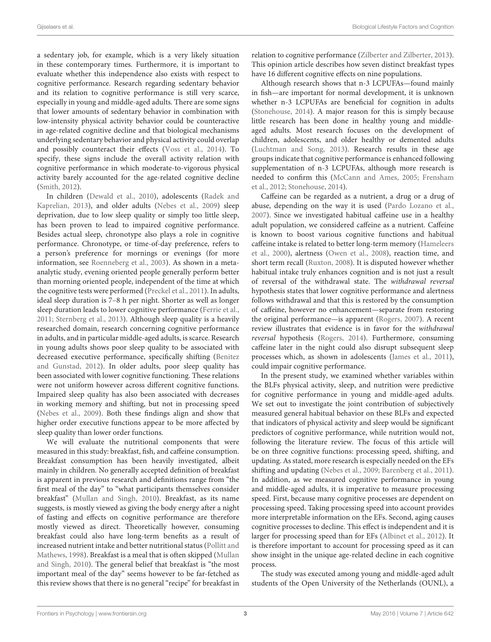a sedentary job, for example, which is a very likely situation in these contemporary times. Furthermore, it is important to evaluate whether this independence also exists with respect to cognitive performance. Research regarding sedentary behavior and its relation to cognitive performance is still very scarce, especially in young and middle-aged adults. There are some signs that lower amounts of sedentary behavior in combination with low-intensity physical activity behavior could be counteractive in age-related cognitive decline and that biological mechanisms underlying sedentary behavior and physical activity could overlap and possibly counteract their effects [\(Voss et al., 2014\)](#page-12-9). To specify, these signs include the overall activity relation with cognitive performance in which moderate-to-vigorous physical activity barely accounted for the age-related cognitive decline [\(Smith, 2012\)](#page-12-10).

In children [\(Dewald et al., 2010\)](#page-10-10), adolescents (Radek and Kaprelian, [2013\)](#page-11-10), and older adults [\(Nebes et al., 2009\)](#page-11-11) sleep deprivation, due to low sleep quality or simply too little sleep, has been proven to lead to impaired cognitive performance. Besides actual sleep, chronotype also plays a role in cognitive performance. Chronotype, or time-of-day preference, refers to a person's preference for mornings or evenings (for more information, see [Roenneberg et al., 2003\)](#page-11-12). As shown in a metaanalytic study, evening oriented people generally perform better than morning oriented people, independent of the time at which the cognitive tests were performed [\(Preckel et al., 2011\)](#page-11-13). In adults, ideal sleep duration is 7–8 h per night. Shorter as well as longer sleep duration leads to lower cognitive performance [\(Ferrie et al.,](#page-11-14) [2011;](#page-11-14) [Sternberg et al., 2013\)](#page-12-11). Although sleep quality is a heavily researched domain, research concerning cognitive performance in adults, and in particular middle-aged adults, is scarce. Research in young adults shows poor sleep quality to be associated with decreased executive performance, specifically shifting (Benitez and Gunstad, [2012\)](#page-10-11). In older adults, poor sleep quality has been associated with lower cognitive functioning. These relations were not uniform however across different cognitive functions. Impaired sleep quality has also been associated with decreases in working memory and shifting, but not in processing speed [\(Nebes et al., 2009\)](#page-11-11). Both these findings align and show that higher order executive functions appear to be more affected by sleep quality than lower order functions.

We will evaluate the nutritional components that were measured in this study: breakfast, fish, and caffeine consumption. Breakfast consumption has been heavily investigated, albeit mainly in children. No generally accepted definition of breakfast is apparent in previous research and definitions range from "the first meal of the day" to "what participants themselves consider breakfast" [\(Mullan and Singh, 2010\)](#page-11-15). Breakfast, as its name suggests, is mostly viewed as giving the body energy after a night of fasting and effects on cognitive performance are therefore mostly viewed as direct. Theoretically however, consuming breakfast could also have long-term benefits as a result of increased nutrient intake and better nutritional status (Pollitt and Mathews, [1998\)](#page-11-16). Breakfast is a meal that is often skipped (Mullan and Singh, [2010\)](#page-11-15). The general belief that breakfast is "the most important meal of the day" seems however to be far-fetched as this review shows that there is no general "recipe" for breakfast in relation to cognitive performance [\(Zilberter and Zilberter, 2013\)](#page-12-12). This opinion article describes how seven distinct breakfast types have 16 different cognitive effects on nine populations.

Although research shows that n-3 LCPUFAs—found mainly in fish—are important for normal development, it is unknown whether n-3 LCPUFAs are beneficial for cognition in adults [\(Stonehouse, 2014\)](#page-12-13). A major reason for this is simply because little research has been done in healthy young and middleaged adults. Most research focuses on the development of children, adolescents, and older healthy or demented adults [\(Luchtman and Song, 2013\)](#page-11-17). Research results in these age groups indicate that cognitive performance is enhanced following supplementation of n-3 LCPUFAs, although more research is needed to confirm this [\(McCann and Ames, 2005;](#page-11-18) Frensham et al., [2012;](#page-11-19) [Stonehouse, 2014\)](#page-12-13).

Caffeine can be regarded as a nutrient, a drug or a drug of abuse, depending on the way it is used [\(Pardo Lozano et al.,](#page-11-20) [2007\)](#page-11-20). Since we investigated habitual caffeine use in a healthy adult population, we considered caffeine as a nutrient. Caffeine is known to boost various cognitive functions and habitual caffeine intake is related to better long-term memory (Hameleers et al., [2000\)](#page-11-21), alertness [\(Owen et al., 2008\)](#page-11-22), reaction time, and short term recall [\(Ruxton, 2008\)](#page-11-23). It is disputed however whether habitual intake truly enhances cognition and is not just a result of reversal of the withdrawal state. The withdrawal reversal hypothesis states that lower cognitive performance and alertness follows withdrawal and that this is restored by the consumption of caffeine, however no enhancement—separate from restoring the original performance—is apparent [\(Rogers, 2007\)](#page-11-24). A recent review illustrates that evidence is in favor for the withdrawal reversal hypothesis [\(Rogers, 2014\)](#page-11-25). Furthermore, consuming caffeine later in the night could also disrupt subsequent sleep processes which, as shown in adolescents [\(James et al., 2011\)](#page-11-26), could impair cognitive performance.

In the present study, we examined whether variables within the BLFs physical activity, sleep, and nutrition were predictive for cognitive performance in young and middle-aged adults. We set out to investigate the joint contribution of subjectively measured general habitual behavior on these BLFs and expected that indicators of physical activity and sleep would be significant predictors of cognitive performance, while nutrition would not, following the literature review. The focus of this article will be on three cognitive functions: processing speed, shifting, and updating. As stated, more research is especially needed on the EFs shifting and updating [\(Nebes et al., 2009;](#page-11-11) [Barenberg et al., 2011\)](#page-10-3). In addition, as we measured cognitive performance in young and middle-aged adults, it is imperative to measure processing speed. First, because many cognitive processes are dependent on processing speed. Taking processing speed into account provides more interpretable information on the EFs. Second, aging causes cognitive processes to decline. This effect is independent and it is larger for processing speed than for EFs [\(Albinet et al., 2012\)](#page-10-12). It is therefore important to account for processing speed as it can show insight in the unique age-related decline in each cognitive process.

The study was executed among young and middle-aged adult students of the Open University of the Netherlands (OUNL), a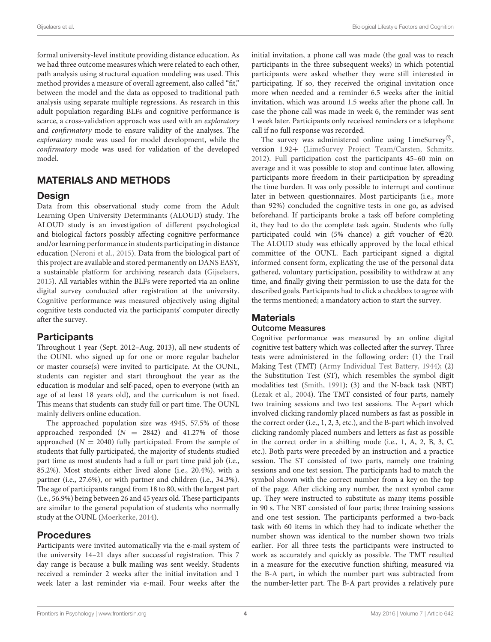formal university-level institute providing distance education. As we had three outcome measures which were related to each other, path analysis using structural equation modeling was used. This method provides a measure of overall agreement, also called "fit," between the model and the data as opposed to traditional path analysis using separate multiple regressions. As research in this adult population regarding BLFs and cognitive performance is scarce, a cross-validation approach was used with an exploratory and confirmatory mode to ensure validity of the analyses. The exploratory mode was used for model development, while the confirmatory mode was used for validation of the developed model.

# MATERIALS AND METHODS

## Design

Data from this observational study come from the Adult Learning Open University Determinants (ALOUD) study. The ALOUD study is an investigation of different psychological and biological factors possibly affecting cognitive performance and/or learning performance in students participating in distance education [\(Neroni et al., 2015\)](#page-11-27). Data from the biological part of this project are available and stored permanently on DANS EASY, a sustainable platform for archiving research data [\(Gijselaers,](#page-11-28) [2015\)](#page-11-28). All variables within the BLFs were reported via an online digital survey conducted after registration at the university. Cognitive performance was measured objectively using digital cognitive tests conducted via the participants' computer directly after the survey.

## **Participants**

Throughout 1 year (Sept. 2012–Aug. 2013), all new students of the OUNL who signed up for one or more regular bachelor or master course(s) were invited to participate. At the OUNL, students can register and start throughout the year as the education is modular and self-paced, open to everyone (with an age of at least 18 years old), and the curriculum is not fixed. This means that students can study full or part time. The OUNL mainly delivers online education.

The approached population size was 4945, 57.5% of those approached responded  $(N = 2842)$  and  $41.27\%$  of those approached ( $N = 2040$ ) fully participated. From the sample of students that fully participated, the majority of students studied part time as most students had a full or part time paid job (i.e., 85.2%). Most students either lived alone (i.e., 20.4%), with a partner (i.e., 27.6%), or with partner and children (i.e., 34.3%). The age of participants ranged from 18 to 80, with the largest part (i.e., 56.9%) being between 26 and 45 years old. These participants are similar to the general population of students who normally study at the OUNL [\(Moerkerke, 2014\)](#page-11-29).

## Procedures

Participants were invited automatically via the e-mail system of the university 14–21 days after successful registration. This 7 day range is because a bulk mailing was sent weekly. Students received a reminder 2 weeks after the initial invitation and 1 week later a last reminder via e-mail. Four weeks after the initial invitation, a phone call was made (the goal was to reach participants in the three subsequent weeks) in which potential participants were asked whether they were still interested in participating. If so, they received the original invitation once more when needed and a reminder 6.5 weeks after the initial invitation, which was around 1.5 weeks after the phone call. In case the phone call was made in week 6, the reminder was sent 1 week later. Participants only received reminders or a telephone call if no full response was recorded.

The survey was administered online using LimeSurvey®, version 1.92+ [\(LimeSurvey Project Team/Carsten, Schmitz,](#page-11-30) [2012\)](#page-11-30). Full participation cost the participants 45–60 min on average and it was possible to stop and continue later, allowing participants more freedom in their participation by spreading the time burden. It was only possible to interrupt and continue later in between questionnaires. Most participants (i.e., more than 92%) concluded the cognitive tests in one go, as advised beforehand. If participants broke a task off before completing it, they had to do the complete task again. Students who fully participated could win (5% chance) a gift voucher of  $\in 20$ . The ALOUD study was ethically approved by the local ethical committee of the OUNL. Each participant signed a digital informed consent form, explicating the use of the personal data gathered, voluntary participation, possibility to withdraw at any time, and finally giving their permission to use the data for the described goals. Participants had to click a checkbox to agree with the terms mentioned; a mandatory action to start the survey.

# **Materials**

## Outcome Measures

Cognitive performance was measured by an online digital cognitive test battery which was collected after the survey. Three tests were administered in the following order: (1) the Trail Making Test (TMT) [\(Army Individual Test Battery, 1944\)](#page-10-13); (2) the Substitution Test (ST), which resembles the symbol digit modalities test [\(Smith, 1991\)](#page-12-14); (3) and the N-back task (NBT) [\(Lezak et al., 2004\)](#page-11-31). The TMT consisted of four parts, namely two training sessions and two test sessions. The A-part which involved clicking randomly placed numbers as fast as possible in the correct order (i.e., 1, 2, 3, etc.), and the B-part which involved clicking randomly placed numbers and letters as fast as possible in the correct order in a shifting mode (i.e., 1, A, 2, B, 3, C, etc.). Both parts were preceded by an instruction and a practice session. The ST consisted of two parts, namely one training sessions and one test session. The participants had to match the symbol shown with the correct number from a key on the top of the page. After clicking any number, the next symbol came up. They were instructed to substitute as many items possible in 90 s. The NBT consisted of four parts; three training sessions and one test session. The participants performed a two-back task with 60 items in which they had to indicate whether the number shown was identical to the number shown two trials earlier. For all three tests the participants were instructed to work as accurately and quickly as possible. The TMT resulted in a measure for the executive function shifting, measured via the B-A part, in which the number part was subtracted from the number-letter part. The B-A part provides a relatively pure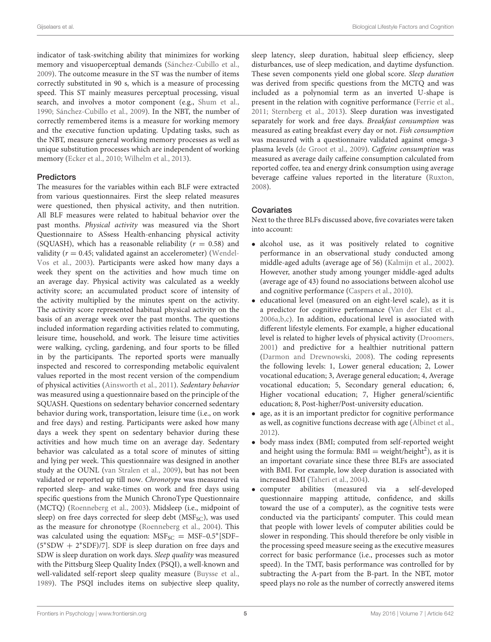indicator of task-switching ability that minimizes for working memory and visuoperceptual demands [\(Sánchez-Cubillo et al.,](#page-11-32) [2009\)](#page-11-32). The outcome measure in the ST was the number of items correctly substituted in 90 s, which is a measure of processing speed. This ST mainly measures perceptual processing, visual search, and involves a motor component (e.g., [Shum et al.,](#page-11-33) [1990;](#page-11-33) [Sánchez-Cubillo et al., 2009\)](#page-11-32). In the NBT, the number of correctly remembered items is a measure for working memory and the executive function updating. Updating tasks, such as the NBT, measure general working memory processes as well as unique substitution processes which are independent of working memory [\(Ecker et al., 2010;](#page-11-34) [Wilhelm et al., 2013\)](#page-12-15).

### **Predictors**

The measures for the variables within each BLF were extracted from various questionnaires. First the sleep related measures were questioned, then physical activity, and then nutrition. All BLF measures were related to habitual behavior over the past months. Physical activity was measured via the Short Questionnaire to ASsess Health-enhancing physical activity (SQUASH), which has a reasonable reliability ( $r = 0.58$ ) and validity ( $r = 0.45$ ; validated against an accelerometer) (Wendel-Vos et al., [2003\)](#page-12-16). Participants were asked how many days a week they spent on the activities and how much time on an average day. Physical activity was calculated as a weekly activity score; an accumulated product score of intensity of the activity multiplied by the minutes spent on the activity. The activity score represented habitual physical activity on the basis of an average week over the past months. The questions included information regarding activities related to commuting, leisure time, household, and work. The leisure time activities were walking, cycling, gardening, and four sports to be filled in by the participants. The reported sports were manually inspected and rescored to corresponding metabolic equivalent values reported in the most recent version of the compendium of physical activities [\(Ainsworth et al., 2011\)](#page-10-14). Sedentary behavior was measured using a questionnaire based on the principle of the SQUASH. Questions on sedentary behavior concerned sedentary behavior during work, transportation, leisure time (i.e., on work and free days) and resting. Participants were asked how many days a week they spent on sedentary behavior during these activities and how much time on an average day. Sedentary behavior was calculated as a total score of minutes of sitting and lying per week. This questionnaire was designed in another study at the OUNL [\(van Stralen et al., 2009\)](#page-12-17), but has not been validated or reported up till now. Chronotype was measured via reported sleep- and wake-times on work and free days using specific questions from the Munich ChronoType Questionnaire (MCTQ) [\(Roenneberg et al., 2003\)](#page-11-12). Midsleep (i.e., midpoint of sleep) on free days corrected for sleep debt (MSF<sub>SC</sub>), was used as the measure for chronotype [\(Roenneberg et al., 2004\)](#page-11-35). This was calculated using the equation:  $MSF_{SC} = MSF-0.5* [SDF-0.5*]$ (5<sup>∗</sup> SDW + 2 ∗ SDF)/7]. SDF is sleep duration on free days and SDW is sleep duration on work days. Sleep quality was measured with the Pittsburg Sleep Quality Index (PSQI), a well-known and well-validated self-report sleep quality measure [\(Buysse et al.,](#page-10-15) [1989\)](#page-10-15). The PSQI includes items on subjective sleep quality,

sleep latency, sleep duration, habitual sleep efficiency, sleep disturbances, use of sleep medication, and daytime dysfunction. These seven components yield one global score. Sleep duration was derived from specific questions from the MCTQ and was included as a polynomial term as an inverted U-shape is present in the relation with cognitive performance [\(Ferrie et al.,](#page-11-14) [2011;](#page-11-14) [Sternberg et al., 2013\)](#page-12-11). Sleep duration was investigated separately for work and free days. Breakfast consumption was measured as eating breakfast every day or not. Fish consumption was measured with a questionnaire validated against omega-3 plasma levels [\(de Groot et al., 2009\)](#page-10-16). Caffeine consumption was measured as average daily caffeine consumption calculated from reported coffee, tea and energy drink consumption using average beverage caffeine values reported in the literature [\(Ruxton,](#page-11-23) [2008\)](#page-11-23).

## **Covariates**

Next to the three BLFs discussed above, five covariates were taken into account:

- alcohol use, as it was positively related to cognitive performance in an observational study conducted among middle-aged adults (average age of 56) [\(Kalmijn et al., 2002\)](#page-11-36). However, another study among younger middle-aged adults (average age of 43) found no associations between alcohol use and cognitive performance [\(Caspers et al., 2010\)](#page-10-17).
- educational level (measured on an eight-level scale), as it is a predictor for cognitive performance [\(Van der Elst et al.,](#page-12-18) [2006a,](#page-12-18)[b,](#page-12-19)[c\)](#page-12-20). In addition, educational level is associated with different lifestyle elements. For example, a higher educational level is related to higher levels of physical activity [\(Droomers,](#page-10-18) [2001\)](#page-10-18) and predictive for a healthier nutritional pattern [\(Darmon and Drewnowski, 2008\)](#page-10-19). The coding represents the following levels: 1, Lower general education; 2, Lower vocational education; 3, Average general education; 4, Average vocational education; 5, Secondary general education; 6, Higher vocational education; 7, Higher general/scientific education; 8, Post-higher/Post-university education.
- age, as it is an important predictor for cognitive performance as well, as cognitive functions decrease with age [\(Albinet et al.,](#page-10-12) [2012\)](#page-10-12).
- body mass index (BMI; computed from self-reported weight and height using the formula:  $BMI = weight/height<sup>2</sup>)$ , as it is an important covariate since these three BLFs are associated with BMI. For example, low sleep duration is associated with increased BMI [\(Taheri et al., 2004\)](#page-12-21).
- computer abilities (measured via a self-developed questionnaire mapping attitude, confidence, and skills toward the use of a computer), as the cognitive tests were conducted via the participants' computer. This could mean that people with lower levels of computer abilities could be slower in responding. This should therefore be only visible in the processing speed measure seeing as the executive measures correct for basic performance (i.e., processes such as motor speed). In the TMT, basis performance was controlled for by subtracting the A-part from the B-part. In the NBT, motor speed plays no role as the number of correctly answered items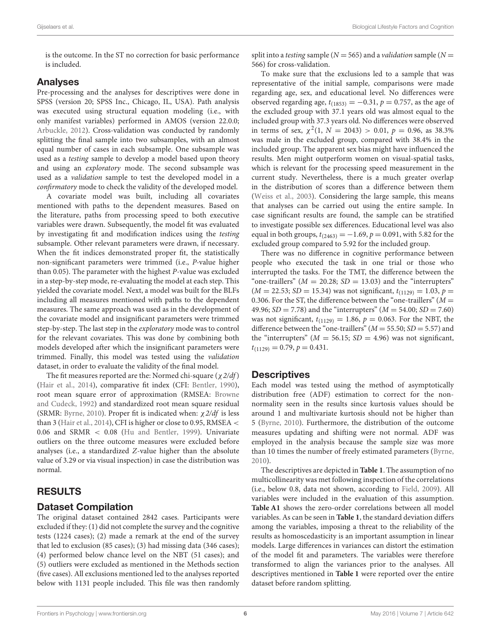is the outcome. In the ST no correction for basic performance is included.

# Analyses

Pre-processing and the analyses for descriptives were done in SPSS (version 20; SPSS Inc., Chicago, IL, USA). Path analysis was executed using structural equation modeling (i.e., with only manifest variables) performed in AMOS (version 22.0.0; [Arbuckle, 2012\)](#page-10-20). Cross-validation was conducted by randomly splitting the final sample into two subsamples, with an almost equal number of cases in each subsample. One subsample was used as a testing sample to develop a model based upon theory and using an exploratory mode. The second subsample was used as a validation sample to test the developed model in a confirmatory mode to check the validity of the developed model.

A covariate model was built, including all covariates mentioned with paths to the dependent measures. Based on the literature, paths from processing speed to both executive variables were drawn. Subsequently, the model fit was evaluated by investigating fit and modification indices using the testing subsample. Other relevant parameters were drawn, if necessary. When the fit indices demonstrated proper fit, the statistically non-significant parameters were trimmed (i.e., P-value higher than 0.05). The parameter with the highest P-value was excluded in a step-by-step mode, re-evaluating the model at each step. This yielded the covariate model. Next, a model was built for the BLFs including all measures mentioned with paths to the dependent measures. The same approach was used as in the development of the covariate model and insignificant parameters were trimmed step-by-step. The last step in the exploratory mode was to control for the relevant covariates. This was done by combining both models developed after which the insignificant parameters were trimmed. Finally, this model was tested using the validation dataset, in order to evaluate the validity of the final model.

The fit measures reported are the: Normed chi-square ( $\chi$  2/df) [\(Hair et al., 2014\)](#page-11-37), comparative fit index (CFI: [Bentler, 1990\)](#page-10-21), root mean square error of approximation (RMSEA: Browne and Cudeck, [1992\)](#page-10-22) and standardized root mean square residual (SRMR: [Byrne, 2010\)](#page-10-23). Proper fit is indicated when:  $\chi$  2/df is less than 3 [\(Hair et al., 2014\)](#page-11-37), CFI is higher or close to 0.95, RMSEA < 0.06 and SRMR < 0.08 [\(Hu and Bentler, 1999\)](#page-11-38). Univariate outliers on the three outcome measures were excluded before analyses (i.e., a standardized Z-value higher than the absolute value of 3.29 or via visual inspection) in case the distribution was normal.

# RESULTS

## Dataset Compilation

The original dataset contained 2842 cases. Participants were excluded if they: (1) did not complete the survey and the cognitive tests (1224 cases); (2) made a remark at the end of the survey that led to exclusion (85 cases); (3) had missing data (346 cases); (4) performed below chance level on the NBT (51 cases); and (5) outliers were excluded as mentioned in the Methods section (five cases). All exclusions mentioned led to the analyses reported below with 1131 people included. This file was then randomly split into a *testing* sample ( $N = 565$ ) and a *validation* sample ( $N =$ 566) for cross-validation.

To make sure that the exclusions led to a sample that was representative of the initial sample, comparisons were made regarding age, sex, and educational level. No differences were observed regarding age,  $t_{(1853)} = -0.31$ ,  $p = 0.757$ , as the age of the excluded group with 37.1 years old was almost equal to the included group with 37.3 years old. No differences were observed in terms of sex,  $\chi^2(1, N = 2043) > 0.01$ ,  $p = 0.96$ , as 38.3% was male in the excluded group, compared with 38.4% in the included group. The apparent sex bias might have influenced the results. Men might outperform women on visual-spatial tasks, which is relevant for the processing speed measurement in the current study. Nevertheless, there is a much greater overlap in the distribution of scores than a difference between them [\(Weiss et al., 2003\)](#page-12-22). Considering the large sample, this means that analyses can be carried out using the entire sample. In case significant results are found, the sample can be stratified to investigate possible sex differences. Educational level was also equal in both groups,  $t_{(2463)} = -1.69$ ,  $p = 0.091$ , with 5.82 for the excluded group compared to 5.92 for the included group.

There was no difference in cognitive performance between people who executed the task in one trial or those who interrupted the tasks. For the TMT, the difference between the "one-traillers" ( $M = 20.28$ ;  $SD = 13.03$ ) and the "interrupters"  $(M = 22.53; SD = 15.34)$  was not significant,  $t_{(1129)} = 1.03$ ,  $p =$ 0.306. For the ST, the difference between the "one-traillers" ( $M =$ 49.96;  $SD = 7.78$ ) and the "interrupters" ( $M = 54.00$ ;  $SD = 7.60$ ) was not significant,  $t_{(1129)} = 1.86$ ,  $p = 0.063$ . For the NBT, the difference between the "one-traillers" ( $M = 55.50$ ;  $SD = 5.57$ ) and the "interrupters" ( $M = 56.15$ ;  $SD = 4.96$ ) was not significant,  $t_{(1129)} = 0.79, p = 0.431.$ 

## **Descriptives**

Each model was tested using the method of asymptotically distribution free (ADF) estimation to correct for the nonnormality seen in the results since kurtosis values should be around 1 and multivariate kurtosis should not be higher than 5 [\(Byrne, 2010\)](#page-10-23). Furthermore, the distribution of the outcome measures updating and shifting were not normal. ADF was employed in the analysis because the sample size was more than 10 times the number of freely estimated parameters [\(Byrne,](#page-10-23) [2010\)](#page-10-23).

The descriptives are depicted in **[Table 1](#page-7-0)**. The assumption of no multicollinearity was met following inspection of the correlations (i.e., below 0.8, data not shown, according to [Field, 2009\)](#page-11-39). All variables were included in the evaluation of this assumption. **[Table A1](#page-13-0)** shows the zero-order correlations between all model variables. As can be seen in **[Table 1](#page-7-0)**, the standard deviation differs among the variables, imposing a threat to the reliability of the results as homoscedasticity is an important assumption in linear models. Large differences in variances can distort the estimation of the model fit and parameters. The variables were therefore transformed to align the variances prior to the analyses. All descriptives mentioned in **[Table 1](#page-7-0)** were reported over the entire dataset before random splitting.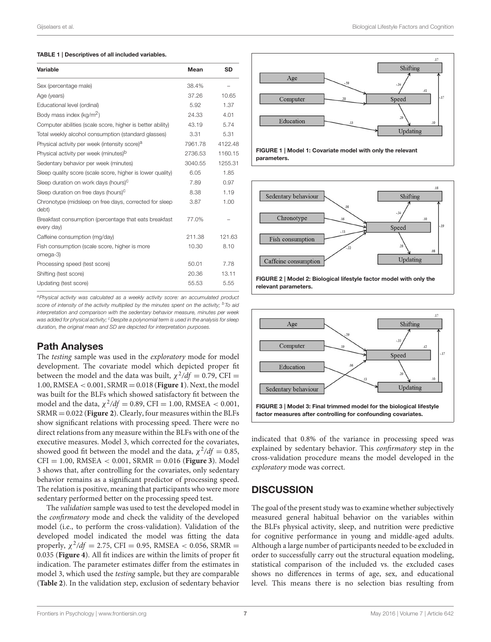#### <span id="page-7-0"></span>TABLE 1 | Descriptives of all included variables.

| Variable                                                            | Mean    | <b>SD</b> |
|---------------------------------------------------------------------|---------|-----------|
| Sex (percentage male)                                               | 38.4%   |           |
| Age (years)                                                         | 37.26   | 10.65     |
| Educational level (ordinal)                                         | 5.92    | 1.37      |
| Body mass index (kg/m <sup>2</sup> )                                | 24.33   | 4.01      |
| Computer abilities (scale score, higher is better ability)          | 43.19   | 5.74      |
| Total weekly alcohol consumption (standard glasses)                 | 3.31    | 5.31      |
| Physical activity per week (intensity score) <sup>a</sup>           | 7961.78 | 4122.48   |
| Physical activity per week (minutes) <sup>b</sup>                   | 2736.53 | 1160.15   |
| Sedentary behavior per week (minutes)                               | 3040.55 | 1255.31   |
| Sleep quality score (scale score, higher is lower quality)          | 6.05    | 1.85      |
| Sleep duration on work days (hours) <sup>c</sup>                    | 7.89    | 0.97      |
| Sleep duration on free days (hours) <sup>c</sup>                    | 8.38    | 1.19      |
| Chronotype (midsleep on free days, corrected for sleep<br>debt)     | 3.87    | 1.00      |
| Breakfast consumption (percentage that eats breakfast<br>every day) | 77.0%   |           |
| Caffeine consumption (mg/day)                                       | 211.38  | 121.63    |
| Fish consumption (scale score, higher is more<br>omega-3)           | 10.30   | 8.10      |
| Processing speed (test score)                                       | 50.01   | 7.78      |
| Shifting (test score)                                               | 20.36   | 13.11     |
| Updating (test score)                                               | 55.53   | 5.55      |

a Physical activity was calculated as a weekly activity score: an accumulated product score of intensity of the activity multiplied by the minutes spent on the activity;  $\overline{b}$  To aid interpretation and comparison with the sedentary behavior measure, minutes per week was added for physical activity; <sup>c</sup> Despite a polynomial term is used in the analysis for sleep duration, the original mean and SD are depicted for interpretation purposes.

# Path Analyses

The testing sample was used in the exploratory mode for model development. The covariate model which depicted proper fit between the model and the data was built,  $\chi^2/df = 0.79$ , CFI = 1.00, RMSEA < 0.001, SRMR = 0.018 (**[Figure 1](#page-7-1)**). Next, the model was built for the BLFs which showed satisfactory fit between the model and the data,  $\chi^2/df = 0.89$ , CFI = 1.00, RMSEA < 0.001, SRMR = 0.022 (**[Figure 2](#page-7-2)**). Clearly, four measures within the BLFs show significant relations with processing speed. There were no direct relations from any measure within the BLFs with one of the executive measures. Model 3, which corrected for the covariates, showed good fit between the model and the data,  $\chi^2/df = 0.85$ , CFI = 1.00, RMSEA < 0.001, SRMR = 0.016 (**[Figure 3](#page-7-3)**). Model 3 shows that, after controlling for the covariates, only sedentary behavior remains as a significant predictor of processing speed. The relation is positive, meaning that participants who were more sedentary performed better on the processing speed test.

The validation sample was used to test the developed model in the confirmatory mode and check the validity of the developed model (i.e., to perform the cross-validation). Validation of the developed model indicated the model was fitting the data properly,  $\chi^2/df = 2.75$ , CFI = 0.95, RMSEA < 0.056, SRMR = 0.035 (**[Figure 4](#page-8-0)**). All fit indices are within the limits of proper fit indication. The parameter estimates differ from the estimates in model 3, which used the testing sample, but they are comparable (**[Table 2](#page-8-1)**). In the validation step, exclusion of sedentary behavior



<span id="page-7-1"></span>FIGURE 1 | Model 1: Covariate model with only the relevant parameters.



<span id="page-7-2"></span>

<span id="page-7-3"></span>indicated that 0.8% of the variance in processing speed was explained by sedentary behavior. This confirmatory step in the cross-validation procedure means the model developed in the exploratory mode was correct.

# **DISCUSSION**

The goal of the present study was to examine whether subjectively measured general habitual behavior on the variables within the BLFs physical activity, sleep, and nutrition were predictive for cognitive performance in young and middle-aged adults. Although a large number of participants needed to be excluded in order to successfully carry out the structural equation modeling, statistical comparison of the included vs. the excluded cases shows no differences in terms of age, sex, and educational level. This means there is no selection bias resulting from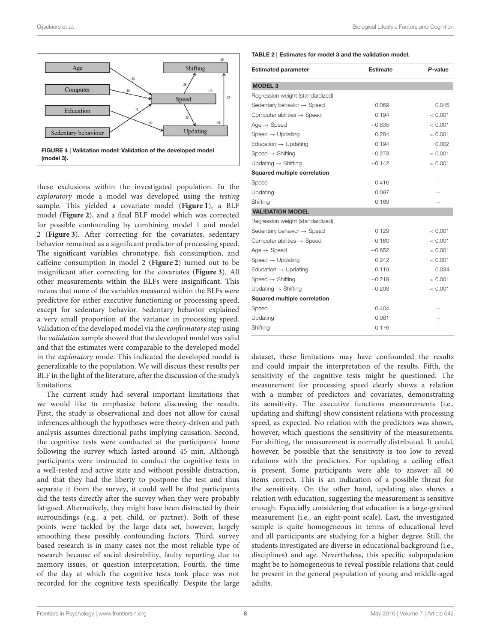

<span id="page-8-0"></span>these exclusions within the investigated population. In the exploratory mode a model was developed using the testing sample. This yielded a covariate model (**[Figure 1](#page-7-1)**), a BLF model (**[Figure 2](#page-7-2)**), and a final BLF model which was corrected for possible confounding by combining model 1 and model 2 (**[Figure 3](#page-7-3)**). After correcting for the covariates, sedentary behavior remained as a significant predictor of processing speed. The significant variables chronotype, fish consumption, and caffeine consumption in model 2 (**[Figure 2](#page-7-2)**) turned out to be insignificant after correcting for the covariates (**[Figure 3](#page-7-3)**). All other measurements within the BLFs were insignificant. This means that none of the variables measured within the BLFs were predictive for either executive functioning or processing speed, except for sedentary behavior. Sedentary behavior explained a very small proportion of the variance in processing speed. Validation of the developed model via the confirmatory step using the validation sample showed that the developed model was valid and that the estimates were comparable to the developed model in the exploratory mode. This indicated the developed model is generalizable to the population. We will discuss these results per BLF in the light of the literature, after the discussion of the study's limitations.

The current study had several important limitations that we would like to emphasize before discussing the results. First, the study is observational and does not allow for causal inferences although the hypotheses were theory-driven and path analysis assumes directional paths implying causation. Second, the cognitive tests were conducted at the participants' home following the survey which lasted around 45 min. Although participants were instructed to conduct the cognitive tests in a well-rested and active state and without possible distraction, and that they had the liberty to postpone the test and thus separate it from the survey, it could well be that participants did the tests directly after the survey when they were probably fatigued. Alternatively, they might have been distracted by their surroundings (e.g., a pet, child, or partner). Both of these points were tackled by the large data set, however, largely smoothing these possibly confounding factors. Third, survey based research is in many cases not the most reliable type of research because of social desirability, faulty reporting due to memory issues, or question interpretation. Fourth, the time of the day at which the cognitive tests took place was not recorded for the cognitive tests specifically. Despite the large <span id="page-8-1"></span>TABLE 2 | Estimates for model 3 and the validation model.

| <b>Estimated parameter</b>             | <b>Estimate</b> | P-value |
|----------------------------------------|-----------------|---------|
| <b>MODEL 3</b>                         |                 |         |
| Regression weight (standardized)       |                 |         |
| Sedentary behavior $\rightarrow$ Speed | 0.069           | 0.045   |
| Computer abilities $\rightarrow$ Speed | 0.194           | < 0.001 |
| $Age \rightarrow Speed$                | $-0.635$        | < 0.001 |
| Speed $\rightarrow$ Updating           | 0.284           | < 0.001 |
| Education $\rightarrow$ Updating       | 0.194           | 0.002   |
| Speed $\rightarrow$ Shifting           | $-0.273$        | < 0.001 |
| Updating $\rightarrow$ Shifting        | $-0.142$        | < 0.001 |
| Squared multiple correlation           |                 |         |
| Speed                                  | 0.416           |         |
| Updating                               | 0.097           |         |
| Shifting                               | 0.169           |         |
| <b>VALIDATION MODEL</b>                |                 |         |
| Regression weight (standardized)       |                 |         |
| Sedentary behavior $\rightarrow$ Speed | 0.129           | < 0.001 |
| Computer abilities $\rightarrow$ Speed | 0.160           | < 0.001 |
| $Age \rightarrow Speed$                | $-0.652$        | < 0.001 |
| Speed $\rightarrow$ Updating           | 0.242           | < 0.001 |
| Education $\rightarrow$ Updating       | 0.119           | 0.034   |
| Speed $\rightarrow$ Shifting           | $-0.219$        | < 0.001 |
| Updating $\rightarrow$ Shifting        | $-0.208$        | < 0.001 |
| Squared multiple correlation           |                 |         |
| Speed                                  | 0.404           |         |
| Updating                               | 0.081           |         |
| Shifting                               | 0.176           |         |

dataset, these limitations may have confounded the results and could impair the interpretation of the results. Fifth, the sensitivity of the cognitive tests might be questioned. The measurement for processing speed clearly shows a relation with a number of predictors and covariates, demonstrating its sensitivity. The executive functions measurements (i.e., updating and shifting) show consistent relations with processing speed, as expected. No relation with the predictors was shown, however, which questions the sensitivity of the measurements. For shifting, the measurement is normally distributed. It could, however, be possible that the sensitivity is too low to reveal relations with the predictors. For updating a ceiling effect is present. Some participants were able to answer all 60 items correct. This is an indication of a possible threat for the sensitivity. On the other hand, updating also shows a relation with education, suggesting the measurement is sensitive enough. Especially considering that education is a large-grained measurement (i.e., an eight-point scale). Last, the investigated sample is quite homogeneous in terms of educational level and all participants are studying for a higher degree. Still, the students investigated are diverse in educational background (i.e., disciplines) and age. Nevertheless, this specific subpopulation might be to homogeneous to reveal possible relations that could be present in the general population of young and middle-aged adults.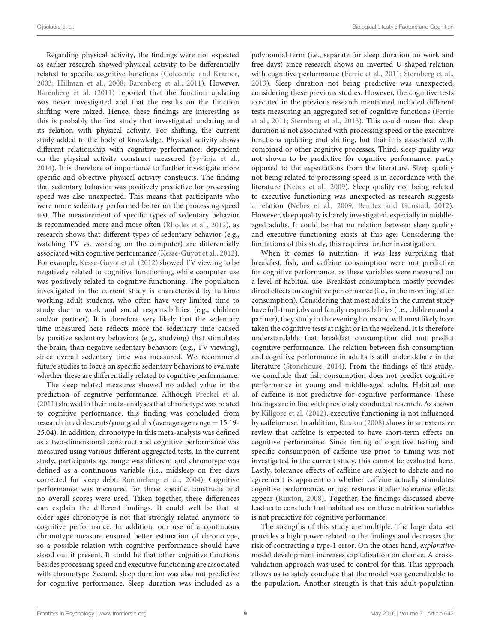Regarding physical activity, the findings were not expected as earlier research showed physical activity to be differentially related to specific cognitive functions [\(Colcombe and Kramer,](#page-10-9) [2003;](#page-10-9) [Hillman et al., 2008;](#page-11-7) [Barenberg et al., 2011\)](#page-10-3). However, [Barenberg et al. \(2011\)](#page-10-3) reported that the function updating was never investigated and that the results on the function shifting were mixed. Hence, these findings are interesting as this is probably the first study that investigated updating and its relation with physical activity. For shifting, the current study added to the body of knowledge. Physical activity shows different relationship with cognitive performance, dependent on the physical activity construct measured [\(Syväoja et al.,](#page-12-8) [2014\)](#page-12-8). It is therefore of importance to further investigate more specific and objective physical activity constructs. The finding that sedentary behavior was positively predictive for processing speed was also unexpected. This means that participants who were more sedentary performed better on the processing speed test. The measurement of specific types of sedentary behavior is recommended more and more often [\(Rhodes et al., 2012\)](#page-11-9), as research shows that different types of sedentary behavior (e.g., watching TV vs. working on the computer) are differentially associated with cognitive performance [\(Kesse-Guyot et al., 2012\)](#page-11-40). For example, [Kesse-Guyot et al. \(2012\)](#page-11-40) showed TV viewing to be negatively related to cognitive functioning, while computer use was positively related to cognitive functioning. The population investigated in the current study is characterized by fulltime working adult students, who often have very limited time to study due to work and social responsibilities (e.g., children and/or partner). It is therefore very likely that the sedentary time measured here reflects more the sedentary time caused by positive sedentary behaviors (e.g., studying) that stimulates the brain, than negative sedentary behaviors (e.g., TV viewing), since overall sedentary time was measured. We recommend future studies to focus on specific sedentary behaviors to evaluate whether these are differentially related to cognitive performance.

The sleep related measures showed no added value in the prediction of cognitive performance. Although [Preckel et al.](#page-11-13) [\(2011\)](#page-11-13) showed in their meta-analyses that chronotype was related to cognitive performance, this finding was concluded from research in adolescents/young adults (average age range = 15.19- 25.04). In addition, chronotype in this meta-analysis was defined as a two-dimensional construct and cognitive performance was measured using various different aggregated tests. In the current study, participants age range was different and chronotype was defined as a continuous variable (i.e., midsleep on free days corrected for sleep debt; [Roenneberg et al., 2004\)](#page-11-35). Cognitive performance was measured for three specific constructs and no overall scores were used. Taken together, these differences can explain the different findings. It could well be that at older ages chronotype is not that strongly related anymore to cognitive performance. In addition, our use of a continuous chronotype measure ensured better estimation of chronotype, so a possible relation with cognitive performance should have stood out if present. It could be that other cognitive functions besides processing speed and executive functioning are associated with chronotype. Second, sleep duration was also not predictive for cognitive performance. Sleep duration was included as a polynomial term (i.e., separate for sleep duration on work and free days) since research shows an inverted U-shaped relation with cognitive performance [\(Ferrie et al., 2011;](#page-11-14) [Sternberg et al.,](#page-12-11) [2013\)](#page-12-11). Sleep duration not being predictive was unexpected, considering these previous studies. However, the cognitive tests executed in the previous research mentioned included different tests measuring an aggregated set of cognitive functions (Ferrie et al., [2011;](#page-11-14) [Sternberg et al., 2013\)](#page-12-11). This could mean that sleep duration is not associated with processing speed or the executive functions updating and shifting, but that it is associated with combined or other cognitive processes. Third, sleep quality was not shown to be predictive for cognitive performance, partly opposed to the expectations from the literature. Sleep quality not being related to processing speed is in accordance with the literature [\(Nebes et al., 2009\)](#page-11-11). Sleep quality not being related to executive functioning was unexpected as research suggests a relation [\(Nebes et al., 2009;](#page-11-11) [Benitez and Gunstad, 2012\)](#page-10-11). However, sleep quality is barely investigated, especially in middleaged adults. It could be that no relation between sleep quality and executive functioning exists at this age. Considering the limitations of this study, this requires further investigation.

When it comes to nutrition, it was less surprising that breakfast, fish, and caffeine consumption were not predictive for cognitive performance, as these variables were measured on a level of habitual use. Breakfast consumption mostly provides direct effects on cognitive performance (i.e., in the morning, after consumption). Considering that most adults in the current study have full-time jobs and family responsibilities (i.e., children and a partner), they study in the evening hours and will most likely have taken the cognitive tests at night or in the weekend. It is therefore understandable that breakfast consumption did not predict cognitive performance. The relation between fish consumption and cognitive performance in adults is still under debate in the literature [\(Stonehouse, 2014\)](#page-12-13). From the findings of this study, we conclude that fish consumption does not predict cognitive performance in young and middle-aged adults. Habitual use of caffeine is not predictive for cognitive performance. These findings are in line with previously conducted research. As shown by [Killgore et al. \(2012\)](#page-11-41), executive functioning is not influenced by caffeine use. In addition, [Ruxton \(2008\)](#page-11-23) shows in an extensive review that caffeine is expected to have short-term effects on cognitive performance. Since timing of cognitive testing and specific consumption of caffeine use prior to timing was not investigated in the current study, this cannot be evaluated here. Lastly, tolerance effects of caffeine are subject to debate and no agreement is apparent on whether caffeine actually stimulates cognitive performance, or just restores it after tolerance effects appear [\(Ruxton, 2008\)](#page-11-23). Together, the findings discussed above lead us to conclude that habitual use on these nutrition variables is not predictive for cognitive performance.

The strengths of this study are multiple. The large data set provides a high power related to the findings and decreases the risk of contracting a type-1 error. On the other hand, explorative model development increases capitalization on chance. A crossvalidation approach was used to control for this. This approach allows us to safely conclude that the model was generalizable to the population. Another strength is that this adult population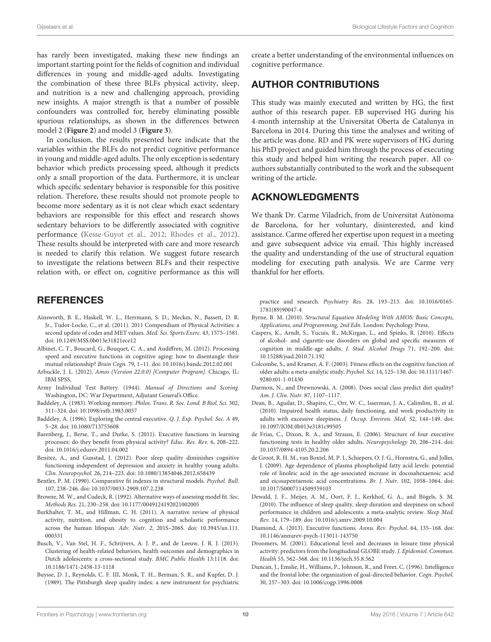has rarely been investigated, making these new findings an important starting point for the fields of cognition and individual differences in young and middle-aged adults. Investigating the combination of these three BLFs physical activity, sleep, and nutrition is a new and challenging approach, providing new insights. A major strength is that a number of possible confounders was controlled for, hereby eliminating possible spurious relationships, as shown in the differences between model 2 (**[Figure 2](#page-7-2)**) and model 3 (**[Figure 3](#page-7-3)**).

In conclusion, the results presented here indicate that the variables within the BLFs do not predict cognitive performance in young and middle-aged adults. The only exception is sedentary behavior which predicts processing speed, although it predicts only a small proportion of the data. Furthermore, it is unclear which specific sedentary behavior is responsible for this positive relation. Therefore, these results should not promote people to become more sedentary as it is not clear which exact sedentary behaviors are responsible for this effect and research shows sedentary behaviors to be differently associated with cognitive performance [\(Kesse-Guyot et al., 2012;](#page-11-40) [Rhodes et al., 2012\)](#page-11-9). These results should be interpreted with care and more research is needed to clarify this relation. We suggest future research to investigate the relations between BLFs and their respective relation with, or effect on, cognitive performance as this will

## **REFERENCES**

- <span id="page-10-14"></span>Ainsworth, B. E., Haskell, W. L., Herrmann, S. D., Meckes, N., Bassett, D. R. Jr., Tudor-Locke, C., et al. (2011). 2011 Compendium of Physical Activities: a second update of codes and MET values. Med. Sci. Sports Exerc. 43, 1575–1581. doi: 10.1249/MSS.0b013e31821ece12
- <span id="page-10-12"></span>Albinet, C. T., Boucard, G., Bouquet, C. A., and Audiffren, M. (2012). Processing speed and executive functions in cognitive aging: how to disentangle their mutual relationship? Brain Cogn. 79, 1–11. doi: 10.1016/j.bandc.2012.02.001
- <span id="page-10-20"></span>Arbuckle, J. L. (2012). Amos (Version 22.0.0) [Computer Program]. Chicago, IL: IBM SPSS.
- <span id="page-10-13"></span>Army Individual Test Battery. (1944). Manual of Directions and Scoring. Washington, DC: War Department, Adjutant General's Office.
- <span id="page-10-7"></span>Baddeley, A. (1983). Working memory. Philos. Trans. R. Soc. Lond. B Biol. Sci. 302, 311–324. doi: 10.1098/rstb.1983.0057
- <span id="page-10-8"></span>Baddeley, A. (1996). Exploring the central executive. Q. J. Exp. Psychol. Sec. A 49, 5–28. doi: 10.1080/713755608
- <span id="page-10-3"></span>Barenberg, J., Berse, T., and Dutke, S. (2011). Executive functions in learning processes: do they benefit from physical activity? Educ. Res. Rev. 6, 208–222. doi: 10.1016/j.edurev.2011.04.002
- <span id="page-10-11"></span>Benitez, A., and Gunstad, J. (2012). Poor sleep quality diminishes cognitive functioning independent of depression and anxiety in healthy young adults. Clin. Neuropsychol. 26, 214–223. doi: 10.1080/13854046.2012.658439
- <span id="page-10-21"></span>Bentler, P. M. (1990). Comparative fit indexes in structural models. Psychol. Bull. 107, 238–246. doi: 10.1037/0033-2909.107.2.238

<span id="page-10-22"></span>Browne, M. W., and Cudeck, R. (1992). Alternative ways of assessing model fit. Soc. Methods Res. 21, 230–258. doi: 10.1177/0049124192021002005

- <span id="page-10-0"></span>Burkhalter, T. M., and Hillman, C. H. (2011). A narrative review of physical activity, nutrition, and obesity to cognition and scholastic performance across the human lifespan. Adv. Nutr. 2, 201S–206S. doi: 10.3945/an.111. 000331
- <span id="page-10-2"></span>Busch, V., Van Stel, H. F., Schrijvers, A. J. P., and de Leeuw, J. R. J. (2013). Clustering of health-related behaviors, health outcomes and demographics in Dutch adolescents: a cross-sectional study. BMC Public Health 13:1118. doi: 10.1186/1471-2458-13-1118
- <span id="page-10-15"></span>Buysse, D. J., Reynolds, C. F. III, Monk, T. H., Berman, S. R., and Kupfer, D. J. (1989). The Pittsburgh sleep quality index: a new instrument for psychiatric

create a better understanding of the environmental influences on cognitive performance.

# AUTHOR CONTRIBUTIONS

This study was mainly executed and written by HG, the first author of this research paper. EB supervised HG during his 4-month internship at the Universitat Oberta de Catalunya in Barcelona in 2014. During this time the analyses and writing of the article was done. RD and PK were supervisors of HG during his PhD project and guided him through the process of executing this study and helped him writing the research paper. All coauthors substantially contributed to the work and the subsequent writing of the article.

# ACKNOWLEDGMENTS

We thank Dr. Carme Viladrich, from de Universitat Autònoma de Barcelona, for her voluntary, disinterested, and kind assistance. Carme offered her expertise upon request in a meeting and gave subsequent advice via email. This highly increased the quality and understanding of the use of structural equation modeling for executing path analysis. We are Carme very thankful for her efforts.

practice and research. Psychiatry Res. 28, 193–213. doi: 10.1016/0165- 1781(89)90047-4

- <span id="page-10-23"></span>Byrne, B. M. (2010). Structural Equation Modeling With AMOS: Basic Concepts, Applications, and Programming, 2nd Edn. London: Psychology Press.
- <span id="page-10-17"></span>Caspers, K., Arndt, S., Yucuis, R., McKirgan, L., and Spinks, R. (2010). Effects of alcohol- and cigarette-use disorders on global and specific measures of cognition in middle-age adults. J. Stud. Alcohol Drugs 71, 192–200. doi: 10.15288/jsad.2010.71.192
- <span id="page-10-9"></span>Colcombe, S., and Kramer, A. F. (2003). Fitness effects on the cognitive function of older adults: a meta-analytic study. Psychol. Sci. 14, 125–130. doi: 10.1111/1467- 9280.t01-1-01430
- <span id="page-10-19"></span>Darmon, N., and Drewnowski, A. (2008). Does social class predict diet quality? Am. J. Clin. Nutr. 87, 1107–1117.
- <span id="page-10-1"></span>Dean, B., Aguilar, D., Shapiro, C., Orr, W. C., Isserman, J. A., Calimlim, B., et al. (2010). Impaired health status, daily functioning, and work productivity in adults with excessive sleepiness. J. Occup. Environ. Med. 52, 144–149. doi: 10.1097/JOM.0b013e3181c99505
- <span id="page-10-6"></span>de Frias, C., Dixon, R. A., and Strauss, E. (2006). Structure of four executive functioning tests in healthy older adults. Neuropsychology 20, 206–214. doi: 10.1037/0894-4105.20.2.206
- <span id="page-10-16"></span>de Groot, R. H. M., van Boxtel, M. P. J., Schiepers, O. J. G., Hornstra, G., and Jolles, J. (2009). Age dependence of plasma phospholipid fatty acid levels: potential role of linoleic acid in the age-associated increase in docosahexaenoic acid and eicosapentaenoic acid concentrations. Br. J. Nutr. 102, 1058–1064. doi: 10.1017/S0007114509359103
- <span id="page-10-10"></span>Dewald, J. F., Meijer, A. M., Oort, F. J., Kerkhof, G. A., and Bögels, S. M. (2010). The influence of sleep quality, sleep duration and sleepiness on school performance in children and adolescents: a meta-analytic review. Sleep Med. Rev. 14, 179–189. doi: 10.1016/j.smrv.2009.10.004
- <span id="page-10-4"></span>Diamond, A. (2013). Executive functions. Annu. Rev. Psychol. 64, 135–168. doi: 10.1146/annurev-psych-113011-143750
- <span id="page-10-18"></span>Droomers, M. (2001). Educational level and decreases in leisure time physical activity: predictors from the longitudinal GLOBE study. J. Epidemiol. Commun. Health 55, 562–568. doi: 10.1136/jech.55.8.562
- <span id="page-10-5"></span>Duncan, J., Emslie, H., Williams, P., Johnson, R., and Freer, C. (1996). Intelligence and the frontal lobe: the organization of goal-directed behavior. Cogn. Psychol. 30, 257–303. doi: 10.1006/cogp.1996.0008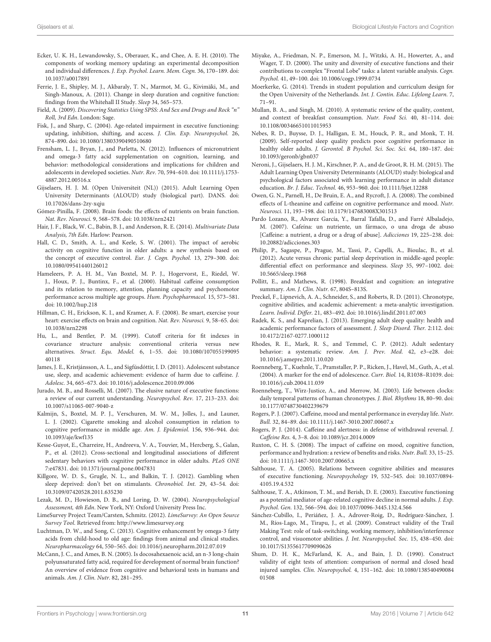- <span id="page-11-34"></span>Ecker, U. K. H., Lewandowsky, S., Oberauer, K., and Chee, A. E. H. (2010). The components of working memory updating: an experimental decomposition and individual differences. J. Exp. Psychol. Learn. Mem. Cogn. 36, 170–189. doi: 10.1037/a0017891
- <span id="page-11-14"></span>Ferrie, J. E., Shipley, M. J., Akbaraly, T. N., Marmot, M. G., Kivimäki, M., and Singh-Manoux, A. (2011). Change in sleep duration and cognitive function: findings from the Whitehall II Study. Sleep 34, 565–573.
- <span id="page-11-39"></span>Field, A. (2009). Discovering Statistics Using SPSS: And Sex and Drugs and Rock "n" Roll, 3rd Edn. London: Sage.
- <span id="page-11-6"></span>Fisk, J., and Sharp, C. (2004). Age-related impairment in executive functioning: updating, inhibition, shifting, and access. J. Clin. Exp. Neuropsychol. 26, 874–890. doi: 10.1080/13803390490510680
- <span id="page-11-19"></span>Frensham, L. J., Bryan, J., and Parletta, N. (2012). Influences of micronutrient and omega-3 fatty acid supplementation on cognition, learning, and behavior: methodological considerations and implications for children and adolescents in developed societies. Nutr. Rev. 70, 594–610. doi: 10.1111/j.1753- 4887.2012.00516.x
- <span id="page-11-28"></span>Gijselaers, H. J. M. (Open Universiteit (NL)) (2015). Adult Learning Open University Determinants (ALOUD) study (biological part). DANS. doi: 10.17026/dans-2zy-xqju
- <span id="page-11-1"></span>Gómez-Pinilla, F. (2008). Brain foods: the effects of nutrients on brain function. Nat. Rev. Neurosci. 9, 568–578. doi: 10.1038/nrn2421
- <span id="page-11-37"></span>Hair, J. F., Black, W. C., Babin, B. J., and Anderson, R. E. (2014). Multivariate Data Analysis, 7th Edn. Harlow: Pearson.
- <span id="page-11-8"></span>Hall, C. D., Smith, A. L., and Keele, S. W. (2001). The impact of aerobic activity on cognitive function in older adults: a new synthesis based on the concept of executive control. Eur. J. Cogn. Psychol. 13, 279–300. doi: 10.1080/09541440126012
- <span id="page-11-21"></span>Hameleers, P. A. H. M., Van Boxtel, M. P. J., Hogervorst, E., Riedel, W. J., Houx, P. J., Buntinx, F., et al. (2000). Habitual caffeine consumption and its relation to memory, attention, planning capacity and psychomotor performance across multiple age groups. Hum. Psychopharmacol. 15, 573–581. doi: 10.1002/hup.218
- <span id="page-11-7"></span>Hillman, C. H., Erickson, K. I., and Kramer, A. F. (2008). Be smart, exercise your heart: exercise effects on brain and cognition. Nat. Rev. Neurosci. 9, 58–65. doi: 10.1038/nrn2298
- <span id="page-11-38"></span>Hu, L., and Bentler, P. M. (1999). Cutoff criteria for fit indexes in covariance structure analysis: conventional criteria versus new alternatives. Struct. Equ. Model. 6, 1–55. doi: 10.1080/107055199095 40118
- <span id="page-11-26"></span>James, J. E., Kristjánsson, A. L., and Sigfúsdóttir, I. D. (2011). Adolescent substance use, sleep, and academic achievement: evidence of harm due to caffeine. J. Adolesc. 34, 665–673. doi: 10.1016/j.adolescence.2010.09.006
- <span id="page-11-3"></span>Jurado, M. B., and Rosselli, M. (2007). The elusive nature of executive functions: a review of our current understanding. Neuropsychol. Rev. 17, 213–233. doi: 10.1007/s11065-007-9040-z
- <span id="page-11-36"></span>Kalmijn, S., Boxtel, M. P. J., Verschuren, M. W. M., Jolles, J., and Launer, L. J. (2002). Cigarette smoking and alcohol consumption in relation to cognitive performance in middle age. Am. J. Epidemiol. 156, 936–944. doi: 10.1093/aje/kwf135
- <span id="page-11-40"></span>Kesse-Guyot, E., Charreire, H., Andreeva, V. A., Touvier, M., Hercberg, S., Galan, P., et al. (2012). Cross-sectional and longitudinal associations of different sedentary behaviors with cognitive performance in older adults. PLoS ONE 7:e47831. doi: 10.1371/journal.pone.0047831
- <span id="page-11-41"></span>Killgore, W. D. S., Grugle, N. L., and Balkin, T. J. (2012). Gambling when sleep deprived: don't bet on stimulants. Chronobiol. Int. 29, 43–54. doi: 10.3109/07420528.2011.635230
- <span id="page-11-31"></span>Lezak, M. D., Howieson, D. B., and Loring, D. W. (2004). Neuropsychological Assessment, 4th Edn. New York, NY: Oxford University Press Inc.
- <span id="page-11-30"></span>LimeSurvey Project Team/Carsten, Schmitz. (2012). LimeSurvey: An Open Source Survey Tool. Retrieved from:<http://www.limesurvey.org>
- <span id="page-11-17"></span>Luchtman, D. W., and Song, C. (2013). Cognitive enhancement by omega-3 fatty acids from child-hood to old age: findings from animal and clinical studies. Neuropharmacology 64, 550–565. doi: 10.1016/j.neuropharm.2012.07.019
- <span id="page-11-18"></span>McCann, J. C., and Ames, B. N. (2005). Is docosahexaenoic acid, an n-3 long-chain polyunsaturated fatty acid, required for development of normal brain function? An overview of evidence from cognitive and behavioral tests in humans and animals. Am. J. Clin. Nutr. 82, 281–295.
- <span id="page-11-4"></span>Miyake, A., Friedman, N. P., Emerson, M. J., Witzki, A. H., Howerter, A., and Wager, T. D. (2000). The unity and diversity of executive functions and their contributions to complex "Frontal Lobe" tasks: a latent variable analysis. Cogn. Psychol. 41, 49–100. doi: 10.1006/cogp.1999.0734
- <span id="page-11-29"></span>Moerkerke, G. (2014). Trends in student population and curriculum design for the Open University of the Netherlands. Int. J. Contin. Educ. Lifelong Learn. 7, 71–91.
- <span id="page-11-15"></span>Mullan, B. A., and Singh, M. (2010). A systematic review of the quality, content, and context of breakfast consumption. Nutr. Food Sci. 40, 81–114. doi: 10.1108/00346651011015953
- <span id="page-11-11"></span>Nebes, R. D., Buysse, D. J., Halligan, E. M., Houck, P. R., and Monk, T. H. (2009). Self-reported sleep quality predicts poor cognitive performance in healthy older adults. J. Gerontol. B Psychol. Sci. Soc. Sci. 64, 180–187. doi: 10.1093/geronb/gbn037
- <span id="page-11-27"></span>Neroni, J., Gijselaers, H. J. M., Kirschner, P. A., and de Groot, R. H. M. (2015). The Adult Learning Open University Determinants (ALOUD) study: biological and psychological factors associated with learning performance in adult distance education. Br. J. Educ. Technol. 46, 953–960. doi: 10.1111/bjet.12288
- <span id="page-11-22"></span>Owen, G. N., Parnell, H., De Bruin, E. A., and Rycroft, J. A. (2008). The combined effects of L-theanine and caffeine on cognitive performance and mood. Nutr. Neurosci. 11, 193–198. doi: 10.1179/147683008X301513
- <span id="page-11-20"></span>Pardo Lozano, R., Alvarez García, Y., Barral Tafalla, D., and Farré Albaladejo, M. (2007). Cafeína: un nutriente, un fármaco, o una droga de abuso [Caffeine: a nutrient, a drug or a drug of abuse]. Adicciones 19, 225-238. doi: 10.20882/adicciones.303
- <span id="page-11-0"></span>Philip, P., Sagaspe, P., Prague, M., Tassi, P., Capelli, A., Bioulac, B., et al. (2012). Acute versus chronic partial sleep deprivation in middle-aged people: differential effect on performance and sleepiness. Sleep 35, 997–1002. doi: 10.5665/sleep.1968
- <span id="page-11-16"></span>Pollitt, E., and Mathews, R. (1998). Breakfast and cognition: an integrative summary. Am. J. Clin. Nutr. 67, 804S–813S.
- <span id="page-11-13"></span>Preckel, F., Lipnevich, A. A., Schneider, S., and Roberts, R. D. (2011). Chronotype, cognitive abilities, and academic achievement: a meta-analytic investigation. Learn. Individ. Differ. 21, 483–492. doi: 10.1016/j.lindif.2011.07.003
- <span id="page-11-10"></span>Radek, K. S., and Kaprelian, J. (2013). Emerging adult sleep quality: health and academic performance factors of assessment. J. Sleep Disord. Ther. 2:112. doi: 10.4172/2167-0277.1000112
- <span id="page-11-9"></span>Rhodes, R. E., Mark, R. S., and Temmel, C. P. (2012). Adult sedentary behavior: a systematic review. Am. J. Prev. Med. 42, e3–e28. doi: 10.1016/j.amepre.2011.10.020
- <span id="page-11-35"></span>Roenneberg, T., Kuehnle, T., Pramstaller, P. P., Ricken, J., Havel, M., Guth, A., et al. (2004). A marker for the end of adolescence. Curr. Biol. 14, R1038–R1039. doi: 10.1016/j.cub.2004.11.039
- <span id="page-11-12"></span>Roenneberg, T., Wirz-Justice, A., and Merrow, M. (2003). Life between clocks: daily temporal patterns of human chronotypes. J. Biol. Rhythms 18, 80–90. doi: 10.1177/0748730402239679
- <span id="page-11-24"></span>Rogers, P. J. (2007). Caffeine, mood and mental performance in everyday life. Nutr. Bull. 32, 84–89. doi: 10.1111/j.1467-3010.2007.00607.x
- <span id="page-11-25"></span>Rogers, P. J. (2014). Caffeine and alertness: in defense of withdrawal reversal. J. Caffeine Res. 4, 3–8. doi: 10.1089/jcr.2014.0009
- <span id="page-11-23"></span>Ruxton, C. H. S. (2008). The impact of caffeine on mood, cognitive function, performance and hydration: a review of benefits and risks. Nutr. Bull. 33, 15–25. doi: 10.1111/j.1467-3010.2007.00665.x
- <span id="page-11-5"></span>Salthouse, T. A. (2005). Relations between cognitive abilities and measures of executive functioning. Neuropsychology 19, 532–545. doi: 10.1037/0894- 4105.19.4.532
- <span id="page-11-2"></span>Salthouse, T. A., Atkinson, T. M., and Berish, D. E. (2003). Executive functioning as a potential mediator of age-related cognitive decline in normal adults. J. Exp. Psychol. Gen. 132, 566–594. doi: 10.1037/0096-3445.132.4.566
- <span id="page-11-32"></span>Sánchez-Cubillo, I., Periáñez, J. A., Adrover-Roig, D., Rodríguez-Sánchez, J. M., Ríos-Lago, M., Tirapu, J., et al. (2009). Construct validity of the Trail Making Test: role of task-switching, working memory, inhibition/interference control, and visuomotor abilities. J. Int. Neuropsychol. Soc. 15, 438–450. doi: 10.1017/S1355617709090626
- <span id="page-11-33"></span>Shum, D. H. K., McFarland, K. A., and Bain, J. D. (1990). Construct validity of eight tests of attention: comparison of normal and closed head injured samples. Clin. Neuropsychol. 4, 151–162. doi: 10.1080/138540490084 01508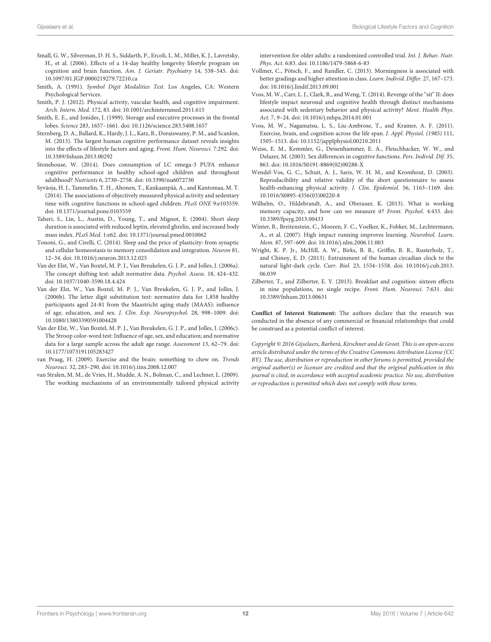- <span id="page-12-1"></span>Small, G. W., Silverman, D. H. S., Siddarth, P., Ercoli, L. M., Miller, K. J., Lavretsky, H., et al. (2006). Effects of a 14-day healthy longevity lifestyle program on cognition and brain function. Am. J. Geriatr. Psychiatry 14, 538–545. doi: 10.1097/01.JGP.0000219279.72210.ca
- <span id="page-12-14"></span>Smith, A. (1991). Symbol Digit Modalities Test. Los Angeles, CA: Western Psychological Services.
- <span id="page-12-10"></span>Smith, P. J. (2012). Physical activity, vascular health, and cognitive impairment. Arch. Intern. Med. 172, 83. doi: 10.1001/archinternmed.2011.615
- <span id="page-12-7"></span>Smith, E. E., and Jonides, J. (1999). Storage and executive processes in the frontal lobes. Science 283, 1657–1661. doi: 10.1126/science.283.5408.1657
- <span id="page-12-11"></span>Sternberg, D. A., Ballard, K., Hardy, J. L., Katz, B., Doraiswamy, P. M., and Scanlon, M. (2013). The largest human cognitive performance dataset reveals insights into the effects of lifestyle factors and aging. Front. Hum. Neurosci. 7:292. doi: 10.3389/fnhum.2013.00292
- <span id="page-12-13"></span>Stonehouse, W. (2014). Does consumption of LC omega-3 PUFA enhance cognitive performance in healthy school-aged children and throughout adulthood? Nutrients 6, 2730–2758. doi: 10.3390/nu6072730
- <span id="page-12-8"></span>Syväoja, H. J., Tammelin, T. H., Ahonen, T., Kankaanpää, A., and Kantomaa, M. T. (2014). The associations of objectively measured physical activity and sedentary time with cognitive functions in school-aged children. PLoS ONE 9:e103559. doi: 10.1371/journal.pone.0103559
- <span id="page-12-21"></span>Taheri, S., Lin, L., Austin, D., Young, T., and Mignot, E. (2004). Short sleep duration is associated with reduced leptin, elevated ghrelin, and increased body mass index. PLoS Med. 1:e62. doi: 10.1371/journal.pmed.0010062
- <span id="page-12-6"></span>Tononi, G., and Cirelli, C. (2014). Sleep and the price of plasticity: from synaptic and cellular homeostasis to memory consolidation and integration. Neuron 81, 12–34. doi: 10.1016/j.neuron.2013.12.025
- <span id="page-12-18"></span>Van der Elst, W., Van Boxtel, M. P. J., Van Breukelen, G. J. P., and Jolles, J. (2006a). The concept shifting test: adult normative data. Psychol. Assess. 18, 424–432. doi: 10.1037/1040-3590.18.4.424
- <span id="page-12-19"></span>Van der Elst, W., Van Boxtel, M. P. J., Van Breukelen, G. J. P., and Jolles, J. (2006b). The letter digit substitution test: normative data for 1,858 healthy participants aged 24-81 from the Maastricht aging study (MAAS): influence of age, education, and sex. J. Clin. Exp. Neuropsychol. 28, 998–1009. doi: 10.1080/13803390591004428
- <span id="page-12-20"></span>Van der Elst, W., Van Boxtel, M. P. J., Van Breukelen, G. J. P., and Jolles, J. (2006c). The Stroop color-word test: Influence of age, sex, and education; and normative data for a large sample across the adult age range. Assessment 13, 62–79. doi: 10.1177/1073191105283427
- <span id="page-12-4"></span>van Praag, H. (2009). Exercise and the brain: something to chew on. Trends Neurosci. 32, 283–290. doi: 10.1016/j.tins.2008.12.007
- <span id="page-12-17"></span>van Stralen, M. M., de Vries, H., Mudde, A. N., Bolman, C., and Lechner, L. (2009). The working mechanisms of an environmentally tailored physical activity

intervention for older adults: a randomized controlled trial. Int. J. Behav. Nutr. Phys. Act. 6:83. doi: 10.1186/1479-5868-6-83

- <span id="page-12-2"></span>Vollmer, C., Pötsch, F., and Randler, C. (2013). Morningness is associated with better gradings and higher attention in class. Learn. Individ. Differ. 27, 167–173. doi: 10.1016/j.lindif.2013.09.001
- <span id="page-12-9"></span>Voss, M. W., Carr, L. J., Clark, R., and Weng, T. (2014). Revenge of the "sit" II: does lifestyle impact neuronal and cognitive health through distinct mechanisms associated with sedentary behavior and physical activity? Ment. Health Phys. Act. 7, 9–24. doi: 10.1016/j.mhpa.2014.01.001
- <span id="page-12-0"></span>Voss, M. W., Nagamatsu, L. S., Liu-Ambrose, T., and Kramer, A. F. (2011). Exercise, brain, and cognition across the life span. J. Appl. Physiol. (1985) 111, 1505–1513. doi: 10.1152/japplphysiol.00210.2011
- <span id="page-12-22"></span>Weiss, E. M., Kemmler, G., Deisenhammer, E. A., Fleischhacker, W. W., and Delazer, M. (2003). Sex differences in cognitive functions. Pers. Individ. Dif. 35, 863. doi: 10.1016/S0191-8869(02)00288-X
- <span id="page-12-16"></span>Wendel-Vos, G. C., Schuit, A. J., Saris, W. H. M., and Kromhout, D. (2003). Reproducibility and relative validity of the short questionnaire to assess health-enhancing physical activity. J. Clin. Epidemiol. 56, 1163–1169. doi: 10.1016/S0895-4356(03)00220-8
- <span id="page-12-15"></span>Wilhelm, O., Hildebrandt, A., and Oberauer, K. (2013). What is working memory capacity, and how can we measure it? Front. Psychol. 4:433. doi: 10.3389/fpsyg.2013.00433
- <span id="page-12-3"></span>Winter, B., Breitenstein, C., Mooren, F. C., Voelker, K., Fobker, M., Lechtermann, A., et al. (2007). High impact running improves learning. Neurobiol. Learn. Mem. 87, 597–609. doi: 10.1016/j.nlm.2006.11.003
- <span id="page-12-5"></span>Wright, K. P. Jr., McHill, A. W., Birks, B. R., Griffin, B. R., Rusterholz, T., and Chinoy, E. D. (2013). Entrainment of the human circadian clock to the natural light-dark cycle. Curr. Biol. 23, 1554–1558. doi: 10.1016/j.cub.2013. 06.039
- <span id="page-12-12"></span>Zilberter, T., and Zilberter, E. Y. (2013). Breakfast and cognition: sixteen effects in nine populations, no single recipe. Front. Hum. Neurosci. 7:631. doi: 10.3389/fnhum.2013.00631

**Conflict of Interest Statement:** The authors declare that the research was conducted in the absence of any commercial or financial relationships that could be construed as a potential conflict of interest.

Copyright © 2016 Gijselaers, Barberà, Kirschner and de Groot. This is an open-access article distributed under the terms of the [Creative Commons](http://creativecommons.org/licenses/by/4.0/) [Attribution License](http://creativecommons.org/licenses/by/4.0/) (CC [BY\). The use, distribution or reproduction in other forums is](http://creativecommons.org/licenses/by/4.0/) permitted, provided the original author(s) or licensor are credited and that the original publication in this journal is cited, in accordance with accepted academic practice. No use, distribution or reproduction is permitted which does not comply with these terms.